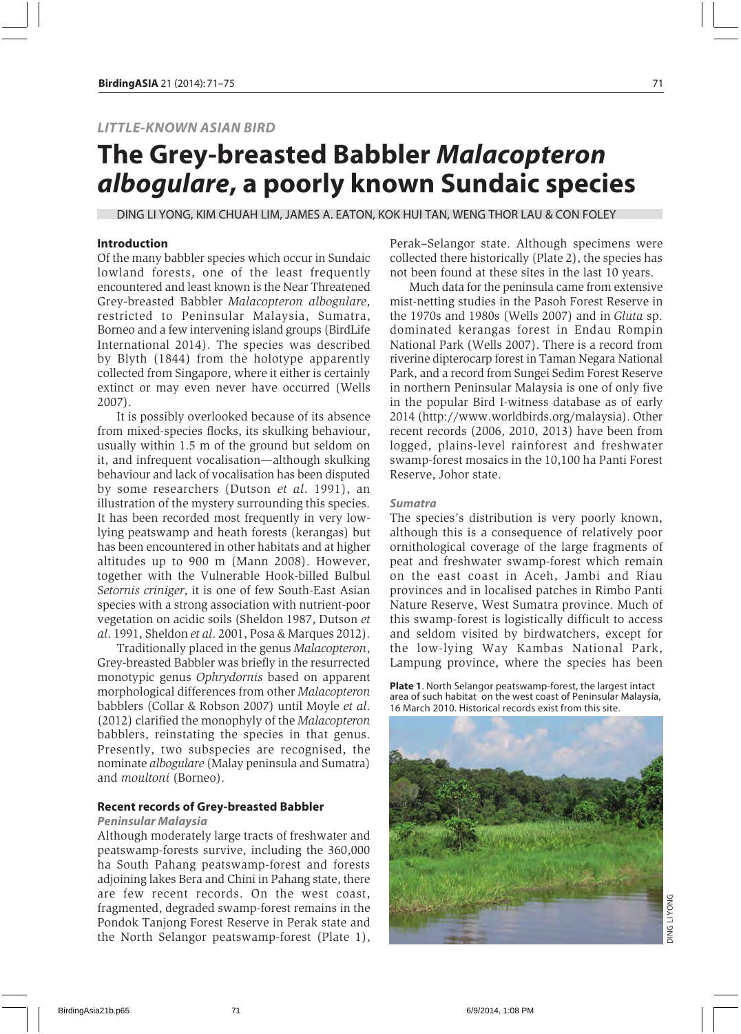# *LITTLE-KNOWN ASIAN BIRD*

# **The Grey-breasted Babbler** *Malacopteron albogulare***, a poorly known Sundaic species**

DING LI YONG, KIM CHUAH LIM, JAMES A. EATON, KOK HUI TAN, WENG THOR LAU & CON FOLEY

# **Introduction**

Of the many babbler species which occur in Sundaic lowland forests, one of the least frequently encountered and least known is the Near Threatened Grey-breasted Babbler *Malacopteron albogulare*, restricted to Peninsular Malaysia, Sumatra, Borneo and a few intervening island groups (BirdLife International 2014). The species was described by Blyth (1844) from the holotype apparently collected from Singapore, where it either is certainly extinct or may even never have occurred (Wells 2007).

It is possibly overlooked because of its absence from mixed-species flocks, its skulking behaviour, usually within 1.5 m of the ground but seldom on it, and infrequent vocalisation—although skulking behaviour and lack of vocalisation has been disputed by some researchers (Dutson *et al*. 1991), an illustration of the mystery surrounding this species. It has been recorded most frequently in very lowlying peatswamp and heath forests (kerangas) but has been encountered in other habitats and at higher altitudes up to 900 m (Mann 2008). However, together with the Vulnerable Hook-billed Bulbul *Setornis criniger*, it is one of few South-East Asian species with a strong association with nutrient-poor vegetation on acidic soils (Sheldon 1987, Dutson *et al*. 1991, Sheldon *et al*. 2001, Posa & Marques 2012).

Traditionally placed in the genus *Malacopteron*, Grey-breasted Babbler was briefly in the resurrected monotypic genus *Ophrydornis* based on apparent morphological differences from other *Malacopteron* babblers (Collar & Robson 2007) until Moyle *et al*. (2012) clarified the monophyly of the *Malacopteron* babblers, reinstating the species in that genus. Presently, two subspecies are recognised, the nominate *albogulare* (Malay peninsula and Sumatra) and *moultoni* (Borneo).

### **Recent records of Grey-breasted Babbler**

#### *Peninsular Malaysia*

Although moderately large tracts of freshwater and peatswamp-forests survive, including the 360,000 ha South Pahang peatswamp-forest and forests adjoining lakes Bera and Chini in Pahang state, there are few recent records. On the west coast, fragmented, degraded swamp-forest remains in the Pondok Tanjong Forest Reserve in Perak state and the North Selangor peatswamp-forest (Plate 1), Perak–Selangor state. Although specimens were collected there historically (Plate 2), the species has not been found at these sites in the last 10 years.

Much data for the peninsula came from extensive mist-netting studies in the Pasoh Forest Reserve in the 1970s and 1980s (Wells 2007) and in *Gluta* sp. dominated kerangas forest in Endau Rompin National Park (Wells 2007). There is a record from riverine dipterocarp forest in Taman Negara National Park, and a record from Sungei Sedim Forest Reserve in northern Peninsular Malaysia is one of only five in the popular Bird I-witness database as of early 2014 (http://www.worldbirds.org/malaysia). Other recent records (2006, 2010, 2013) have been from logged, plains-level rainforest and freshwater swamp-forest mosaics in the 10,100 ha Panti Forest Reserve, Johor state.

#### *Sumatra*

The species's distribution is very poorly known, although this is a consequence of relatively poor ornithological coverage of the large fragments of peat and freshwater swamp-forest which remain on the east coast in Aceh, Jambi and Riau provinces and in localised patches in Rimbo Panti Nature Reserve, West Sumatra province. Much of this swamp-forest is logistically difficult to access and seldom visited by birdwatchers, except for the low-lying Way Kambas National Park, Lampung province, where the species has been

**Plate 1**. North Selangor peatswamp-forest, the largest intact area of such habitat on the west coast of Peninsular Malaysia, 16 March 2010. Historical records exist from this site.

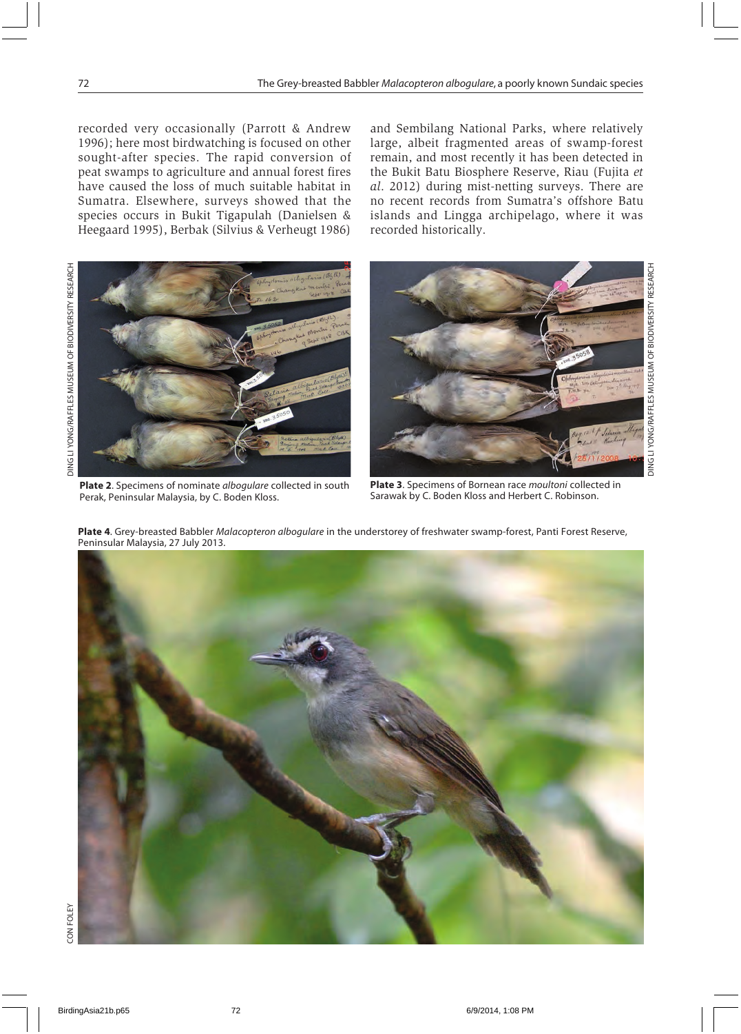recorded very occasionally (Parrott & Andrew 1996); here most birdwatching is focused on other sought-after species. The rapid conversion of peat swamps to agriculture and annual forest fires have caused the loss of much suitable habitat in Sumatra. Elsewhere, surveys showed that the species occurs in Bukit Tigapulah (Danielsen & Heegaard 1995), Berbak (Silvius & Verheugt 1986) and Sembilang National Parks, where relatively large, albeit fragmented areas of swamp-forest remain, and most recently it has been detected in the Bukit Batu Biosphere Reserve, Riau (Fujita *et al*. 2012) during mist-netting surveys. There are no recent records from Sumatra's offshore Batu islands and Lingga archipelago, where it was recorded historically.



**Plate 2**. Specimens of nominate *albogulare* collected in south Perak, Peninsular Malaysia, by C. Boden Kloss.



**Plate 3**. Specimens of Bornean race *moultoni* collected in Sarawak by C. Boden Kloss and Herbert C. Robinson.

**Plate 4**. Grey-breasted Babbler *Malacopteron albogulare* in the understorey of freshwater swamp-forest, Panti Forest Reserve, Peninsular Malaysia, 27 July 2013.

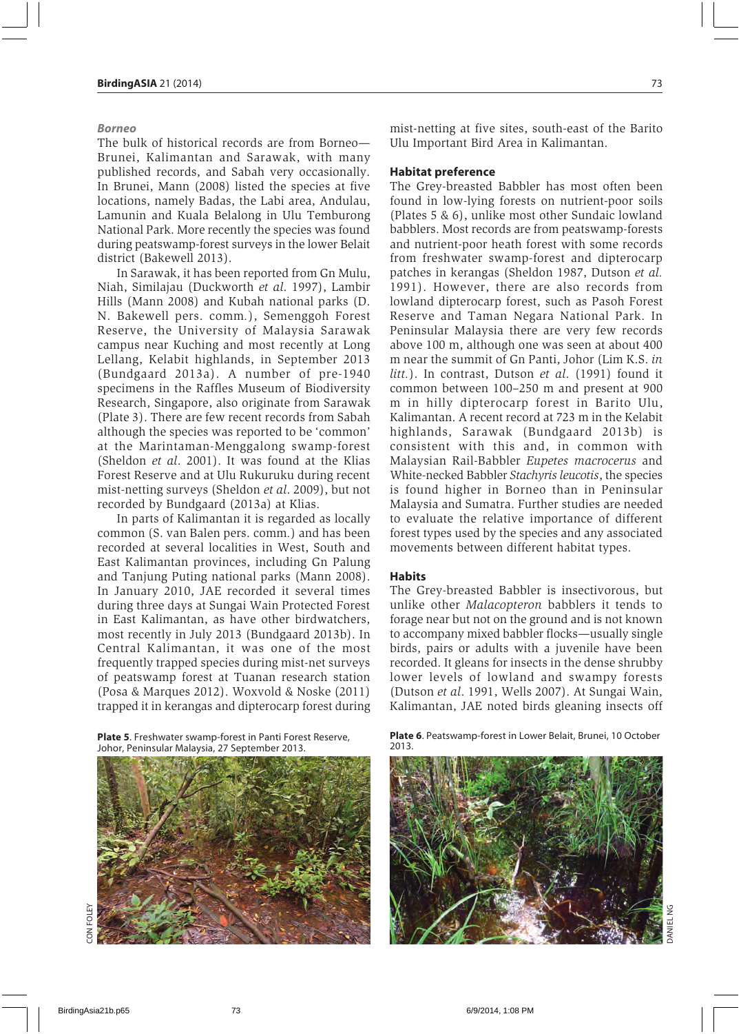### *Borneo*

The bulk of historical records are from Borneo— Brunei, Kalimantan and Sarawak, with many published records, and Sabah very occasionally. In Brunei, Mann (2008) listed the species at five locations, namely Badas, the Labi area, Andulau, Lamunin and Kuala Belalong in Ulu Temburong National Park. More recently the species was found during peatswamp-forest surveys in the lower Belait district (Bakewell 2013).

In Sarawak, it has been reported from Gn Mulu, Niah, Similajau (Duckworth *et al*. 1997), Lambir Hills (Mann 2008) and Kubah national parks (D. N. Bakewell pers. comm*.*), Semenggoh Forest Reserve, the University of Malaysia Sarawak campus near Kuching and most recently at Long Lellang, Kelabit highlands, in September 2013 (Bundgaard 2013a). A number of pre-1940 specimens in the Raffles Museum of Biodiversity Research, Singapore, also originate from Sarawak (Plate 3). There are few recent records from Sabah although the species was reported to be 'common' at the Marintaman-Menggalong swamp-forest (Sheldon *et al*. 2001). It was found at the Klias Forest Reserve and at Ulu Rukuruku during recent mist-netting surveys (Sheldon *et al*. 2009), but not recorded by Bundgaard (2013a) at Klias.

In parts of Kalimantan it is regarded as locally common (S. van Balen pers. comm*.*) and has been recorded at several localities in West, South and East Kalimantan provinces, including Gn Palung and Tanjung Puting national parks (Mann 2008). In January 2010, JAE recorded it several times during three days at Sungai Wain Protected Forest in East Kalimantan, as have other birdwatchers, most recently in July 2013 (Bundgaard 2013b). In Central Kalimantan, it was one of the most frequently trapped species during mist-net surveys of peatswamp forest at Tuanan research station (Posa & Marques 2012). Woxvold & Noske (2011) trapped it in kerangas and dipterocarp forest during

**Plate 5**. Freshwater swamp-forest in Panti Forest Reserve, Johor, Peninsular Malaysia, 27 September 2013.



CON FOLEY

ON FOI F

mist-netting at five sites, south-east of the Barito Ulu Important Bird Area in Kalimantan.

# **Habitat preference**

The Grey-breasted Babbler has most often been found in low-lying forests on nutrient-poor soils (Plates 5 & 6), unlike most other Sundaic lowland babblers. Most records are from peatswamp-forests and nutrient-poor heath forest with some records from freshwater swamp-forest and dipterocarp patches in kerangas (Sheldon 1987, Dutson *et al.* 1991). However, there are also records from lowland dipterocarp forest, such as Pasoh Forest Reserve and Taman Negara National Park. In Peninsular Malaysia there are very few records above 100 m, although one was seen at about 400 m near the summit of Gn Panti, Johor (Lim K.S. *in litt.*). In contrast, Dutson *et al*. (1991) found it common between 100–250 m and present at 900 m in hilly dipterocarp forest in Barito Ulu, Kalimantan. A recent record at 723 m in the Kelabit highlands, Sarawak (Bundgaard 2013b) is consistent with this and, in common with Malaysian Rail-Babbler *Eupetes macrocerus* and White-necked Babbler *Stachyris leucotis*, the species is found higher in Borneo than in Peninsular Malaysia and Sumatra. Further studies are needed to evaluate the relative importance of different forest types used by the species and any associated movements between different habitat types.

# **Habits**

The Grey-breasted Babbler is insectivorous, but unlike other *Malacopteron* babblers it tends to forage near but not on the ground and is not known to accompany mixed babbler flocks—usually single birds, pairs or adults with a juvenile have been recorded. It gleans for insects in the dense shrubby lower levels of lowland and swampy forests (Dutson *et al*. 1991, Wells 2007). At Sungai Wain, Kalimantan, JAE noted birds gleaning insects off

**Plate 6**. Peatswamp-forest in Lower Belait, Brunei, 10 October 2013.



DANIEL NG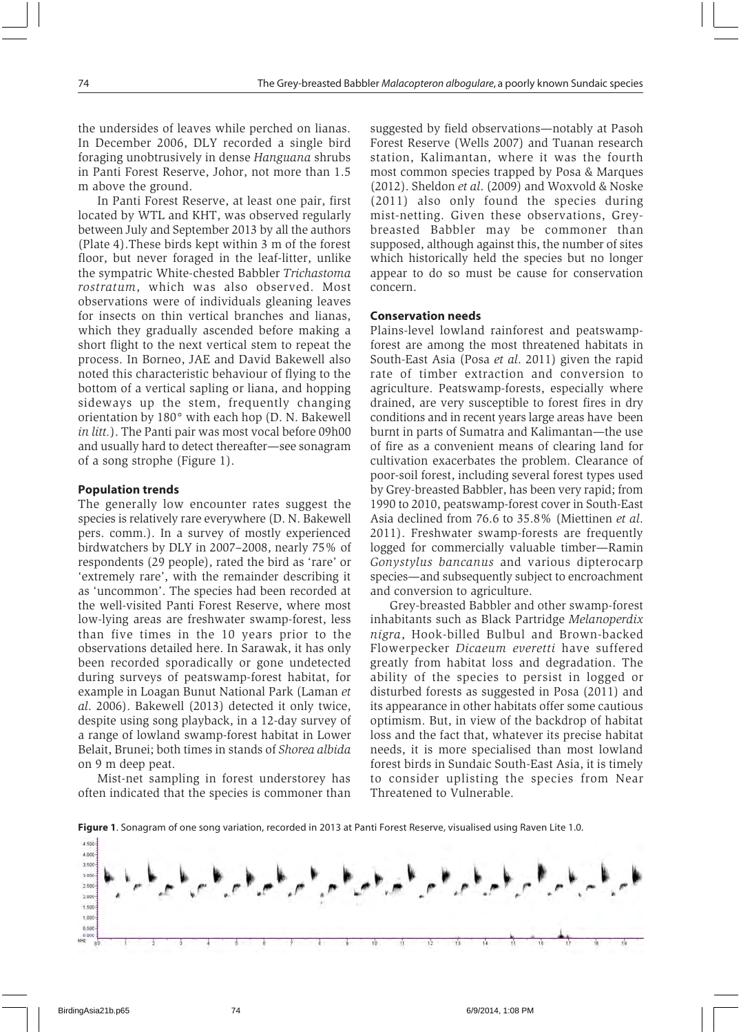the undersides of leaves while perched on lianas. In December 2006, DLY recorded a single bird foraging unobtrusively in dense *Hanguana* shrubs in Panti Forest Reserve, Johor, not more than 1.5 m above the ground.

In Panti Forest Reserve, at least one pair, first located by WTL and KHT, was observed regularly between July and September 2013 by all the authors (Plate 4).These birds kept within 3 m of the forest floor, but never foraged in the leaf-litter, unlike the sympatric White-chested Babbler *Trichastoma rostratum*, which was also observed. Most observations were of individuals gleaning leaves for insects on thin vertical branches and lianas, which they gradually ascended before making a short flight to the next vertical stem to repeat the process. In Borneo, JAE and David Bakewell also noted this characteristic behaviour of flying to the bottom of a vertical sapling or liana, and hopping sideways up the stem, frequently changing orientation by 180° with each hop (D. N. Bakewell *in litt.*). The Panti pair was most vocal before 09h00 and usually hard to detect thereafter—see sonagram of a song strophe (Figure 1).

# **Population trends**

The generally low encounter rates suggest the species is relatively rare everywhere (D. N. Bakewell pers. comm.). In a survey of mostly experienced birdwatchers by DLY in 2007–2008, nearly 75% of respondents (29 people), rated the bird as 'rare' or 'extremely rare', with the remainder describing it as 'uncommon'. The species had been recorded at the well-visited Panti Forest Reserve, where most low-lying areas are freshwater swamp-forest, less than five times in the 10 years prior to the observations detailed here. In Sarawak, it has only been recorded sporadically or gone undetected during surveys of peatswamp-forest habitat, for example in Loagan Bunut National Park (Laman *et al*. 2006). Bakewell (2013) detected it only twice, despite using song playback, in a 12-day survey of a range of lowland swamp-forest habitat in Lower Belait, Brunei; both times in stands of *Shorea albida* on 9 m deep peat.

Mist-net sampling in forest understorey has often indicated that the species is commoner than suggested by field observations—notably at Pasoh Forest Reserve (Wells 2007) and Tuanan research station, Kalimantan, where it was the fourth most common species trapped by Posa & Marques (2012). Sheldon *et al*. (2009) and Woxvold & Noske (2011) also only found the species during mist-netting. Given these observations, Greybreasted Babbler may be commoner than supposed, although against this, the number of sites which historically held the species but no longer appear to do so must be cause for conservation concern.

### **Conservation needs**

Plains-level lowland rainforest and peatswampforest are among the most threatened habitats in South-East Asia (Posa *et al*. 2011) given the rapid rate of timber extraction and conversion to agriculture. Peatswamp-forests, especially where drained, are very susceptible to forest fires in dry conditions and in recent years large areas have been burnt in parts of Sumatra and Kalimantan—the use of fire as a convenient means of clearing land for cultivation exacerbates the problem. Clearance of poor-soil forest, including several forest types used by Grey-breasted Babbler, has been very rapid; from 1990 to 2010, peatswamp-forest cover in South-East Asia declined from 76.6 to 35.8% (Miettinen *et al*. 2011). Freshwater swamp-forests are frequently logged for commercially valuable timber—Ramin *Gonystylus bancanus* and various dipterocarp species—and subsequently subject to encroachment and conversion to agriculture.

Grey-breasted Babbler and other swamp-forest inhabitants such as Black Partridge *Melanoperdix nigra*, Hook-billed Bulbul and Brown-backed Flowerpecker *Dicaeum everetti* have suffered greatly from habitat loss and degradation. The ability of the species to persist in logged or disturbed forests as suggested in Posa (2011) and its appearance in other habitats offer some cautious optimism. But, in view of the backdrop of habitat loss and the fact that, whatever its precise habitat needs, it is more specialised than most lowland forest birds in Sundaic South-East Asia, it is timely to consider uplisting the species from Near Threatened to Vulnerable.